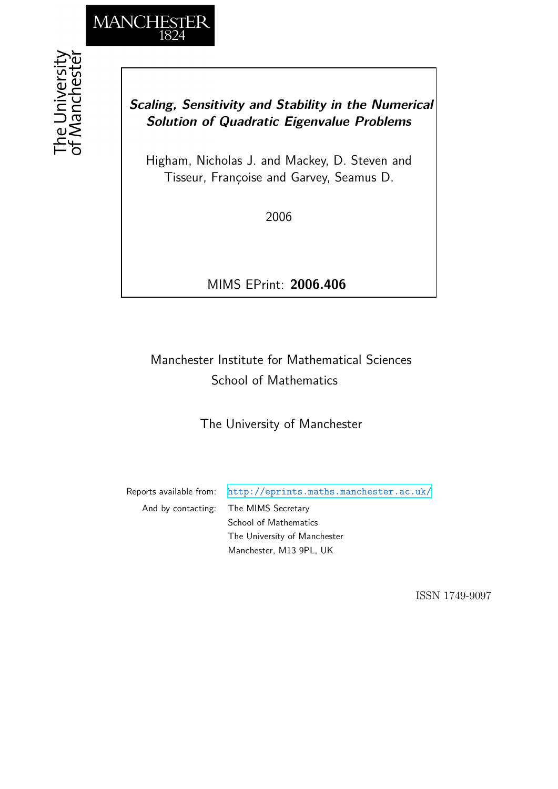

# *Scaling, Sensitivity and Stability in the Numerical Solution of Quadratic Eigenvalue Problems*

Higham, Nicholas J. and Mackey, D. Steven and Tisseur, Françoise and Garvey, Seamus D.

2006

MIMS EPrint: **2006.406**

# Manchester Institute for Mathematical Sciences School of Mathematics

The University of Manchester

Reports available from: <http://eprints.maths.manchester.ac.uk/> And by contacting: The MIMS Secretary School of Mathematics The University of Manchester Manchester, M13 9PL, UK

ISSN 1749-9097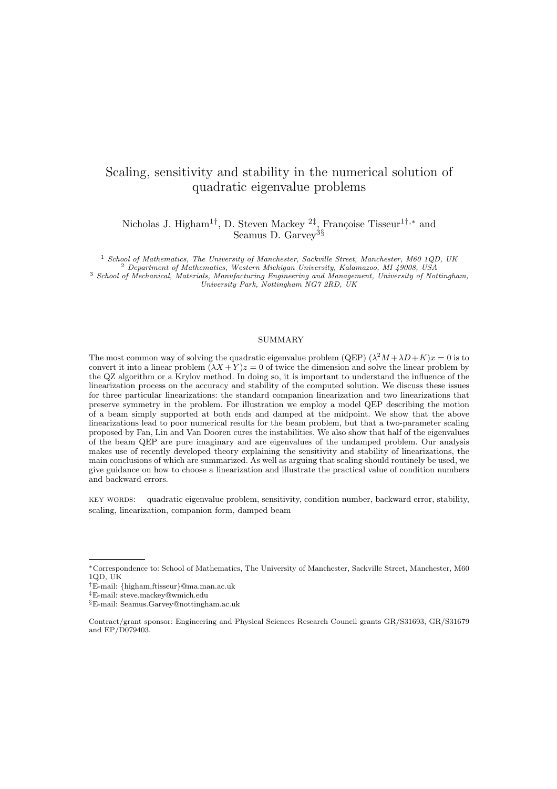# Scaling, sensitivity and stability in the numerical solution of quadratic eigenvalue problems

Nicholas J. Higham<sup>1†</sup>, D. Steven Mackey <sup>2‡</sup>, Françoise Tisseur<sup>1†,\*</sup> and Seamus D. Garvey<sup>3§</sup>

 School of Mathematics, The University of Manchester, Sackville Street, Manchester, M60 1QD, UK Department of Mathematics, Western Michigan University, Kalamazoo, MI 49008, USA School of Mechanical, Materials, Manufacturing Engineering and Management, University of Nottingham, University Park, Nottingham NG7 2RD, UK

#### SUMMARY

The most common way of solving the quadratic eigenvalue problem (QEP)  $(\lambda^2 M + \lambda D + K)x = 0$  is to convert it into a linear problem  $(\lambda X + Y)z = 0$  of twice the dimension and solve the linear problem by the QZ algorithm or a Krylov method. In doing so, it is important to understand the influence of the linearization process on the accuracy and stability of the computed solution. We discuss these issues for three particular linearizations: the standard companion linearization and two linearizations that preserve symmetry in the problem. For illustration we employ a model QEP describing the motion of a beam simply supported at both ends and damped at the midpoint. We show that the above linearizations lead to poor numerical results for the beam problem, but that a two-parameter scaling proposed by Fan, Lin and Van Dooren cures the instabilities. We also show that half of the eigenvalues of the beam QEP are pure imaginary and are eigenvalues of the undamped problem. Our analysis makes use of recently developed theory explaining the sensitivity and stability of linearizations, the main conclusions of which are summarized. As well as arguing that scaling should routinely be used, we give guidance on how to choose a linearization and illustrate the practical value of condition numbers and backward errors.

key words: quadratic eigenvalue problem, sensitivity, condition number, backward error, stability, scaling, linearization, companion form, damped beam

<sup>∗</sup>Correspondence to: School of Mathematics, The University of Manchester, Sackville Street, Manchester, M60 1QD, UK

<sup>†</sup>E-mail: {higham,ftisseur}@ma.man.ac.uk

<sup>‡</sup>E-mail: steve.mackey@wmich.edu

<sup>§</sup>E-mail: Seamus.Garvey@nottingham.ac.uk

Contract/grant sponsor: Engineering and Physical Sciences Research Council grants GR/S31693, GR/S31679 and EP/D079403.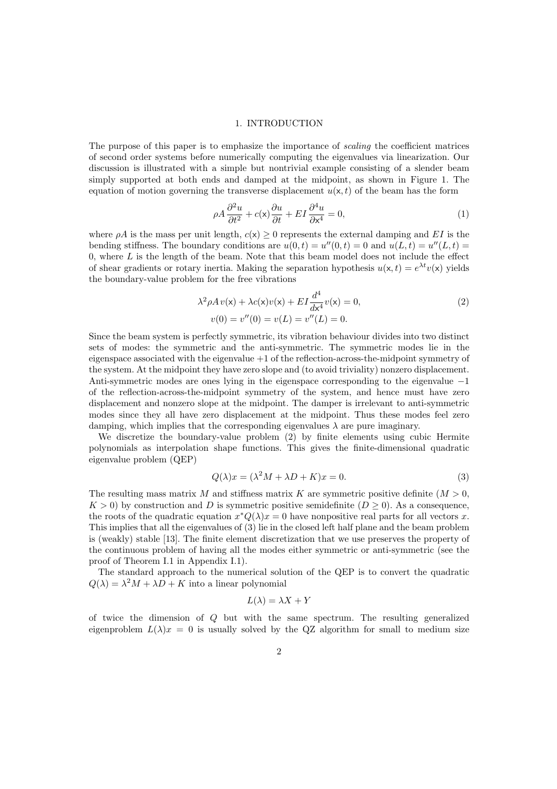#### 1. INTRODUCTION

The purpose of this paper is to emphasize the importance of scaling the coefficient matrices of second order systems before numerically computing the eigenvalues via linearization. Our discussion is illustrated with a simple but nontrivial example consisting of a slender beam simply supported at both ends and damped at the midpoint, as shown in Figure 1. The equation of motion governing the transverse displacement  $u(x, t)$  of the beam has the form

$$
\rho A \frac{\partial^2 u}{\partial t^2} + c(x) \frac{\partial u}{\partial t} + EI \frac{\partial^4 u}{\partial x^4} = 0,
$$
\n(1)

where  $\rho A$  is the mass per unit length,  $c(x) \geq 0$  represents the external damping and EI is the bending stiffness. The boundary conditions are  $u(0,t) = u''(0,t) = 0$  and  $u(L,t) = u''(L,t) =$ 0, where  $L$  is the length of the beam. Note that this beam model does not include the effect of shear gradients or rotary inertia. Making the separation hypothesis  $u(x, t) = e^{\lambda t}v(x)$  yields the boundary-value problem for the free vibrations

$$
\lambda^2 \rho A v(\mathbf{x}) + \lambda c(\mathbf{x}) v(\mathbf{x}) + EI \frac{d^4}{d\mathbf{x}^4} v(\mathbf{x}) = 0,
$$
  
\n
$$
v(0) = v''(0) = v(L) = v''(L) = 0.
$$
\n(2)

Since the beam system is perfectly symmetric, its vibration behaviour divides into two distinct sets of modes: the symmetric and the anti-symmetric. The symmetric modes lie in the eigenspace associated with the eigenvalue +1 of the reflection-across-the-midpoint symmetry of the system. At the midpoint they have zero slope and (to avoid triviality) nonzero displacement. Anti-symmetric modes are ones lying in the eigenspace corresponding to the eigenvalue −1 of the reflection-across-the-midpoint symmetry of the system, and hence must have zero displacement and nonzero slope at the midpoint. The damper is irrelevant to anti-symmetric modes since they all have zero displacement at the midpoint. Thus these modes feel zero damping, which implies that the corresponding eigenvalues  $\lambda$  are pure imaginary.

We discretize the boundary-value problem (2) by finite elements using cubic Hermite polynomials as interpolation shape functions. This gives the finite-dimensional quadratic eigenvalue problem (QEP)

$$
Q(\lambda)x = (\lambda^2 M + \lambda D + K)x = 0.
$$
\n(3)

The resulting mass matrix M and stiffness matrix K are symmetric positive definite  $(M > 0$ ,  $K > 0$ ) by construction and D is symmetric positive semidefinite  $(D > 0)$ . As a consequence, the roots of the quadratic equation  $x^*Q(\lambda)x=0$  have nonpositive real parts for all vectors x. This implies that all the eigenvalues of (3) lie in the closed left half plane and the beam problem is (weakly) stable [13]. The finite element discretization that we use preserves the property of the continuous problem of having all the modes either symmetric or anti-symmetric (see the proof of Theorem I.1 in Appendix I.1).

The standard approach to the numerical solution of the QEP is to convert the quadratic  $Q(\lambda) = \lambda^2 M + \lambda D + K$  into a linear polynomial

$$
L(\lambda) = \lambda X + Y
$$

of twice the dimension of Q but with the same spectrum. The resulting generalized eigenproblem  $L(\lambda)x = 0$  is usually solved by the QZ algorithm for small to medium size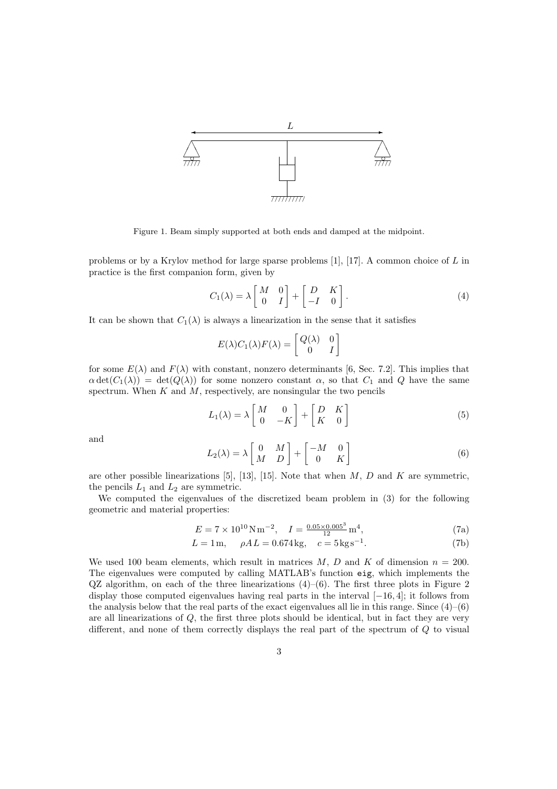

Figure 1. Beam simply supported at both ends and damped at the midpoint.

problems or by a Krylov method for large sparse problems [1], [17]. A common choice of L in practice is the first companion form, given by

$$
C_1(\lambda) = \lambda \begin{bmatrix} M & 0 \\ 0 & I \end{bmatrix} + \begin{bmatrix} D & K \\ -I & 0 \end{bmatrix}.
$$
 (4)

It can be shown that  $C_1(\lambda)$  is always a linearization in the sense that it satisfies

$$
E(\lambda)C_1(\lambda)F(\lambda) = \begin{bmatrix} Q(\lambda) & 0\\ 0 & I \end{bmatrix}
$$

for some  $E(\lambda)$  and  $F(\lambda)$  with constant, nonzero determinants [6, Sec. 7.2]. This implies that  $\alpha \det(C_1(\lambda)) = \det(Q(\lambda))$  for some nonzero constant  $\alpha$ , so that  $C_1$  and Q have the same spectrum. When  $K$  and  $M$ , respectively, are nonsingular the two pencils

$$
L_1(\lambda) = \lambda \begin{bmatrix} M & 0 \\ 0 & -K \end{bmatrix} + \begin{bmatrix} D & K \\ K & 0 \end{bmatrix}
$$
 (5)

and

$$
L_2(\lambda) = \lambda \begin{bmatrix} 0 & M \\ M & D \end{bmatrix} + \begin{bmatrix} -M & 0 \\ 0 & K \end{bmatrix}
$$
 (6)

are other possible linearizations [5], [13], [15]. Note that when  $M, D$  and  $K$  are symmetric, the pencils  $L_1$  and  $L_2$  are symmetric.

We computed the eigenvalues of the discretized beam problem in (3) for the following geometric and material properties:

$$
E = 7 \times 10^{10} \,\mathrm{N} \,\mathrm{m}^{-2}, \quad I = \frac{0.05 \times 0.005^3}{12} \,\mathrm{m}^4,\tag{7a}
$$

$$
L = 1 \,\text{m}, \quad \rho A \, L = 0.674 \,\text{kg}, \quad c = 5 \,\text{kg}\,\text{s}^{-1}.\tag{7b}
$$

We used 100 beam elements, which result in matrices  $M, D$  and  $K$  of dimension  $n = 200$ . The eigenvalues were computed by calling MATLAB's function eig, which implements the  $QZ$  algorithm, on each of the three linearizations  $(4)$ – $(6)$ . The first three plots in Figure 2 display those computed eigenvalues having real parts in the interval [−16, 4]; it follows from the analysis below that the real parts of the exact eigenvalues all lie in this range. Since  $(4)$ – $(6)$ are all linearizations of Q, the first three plots should be identical, but in fact they are very different, and none of them correctly displays the real part of the spectrum of Q to visual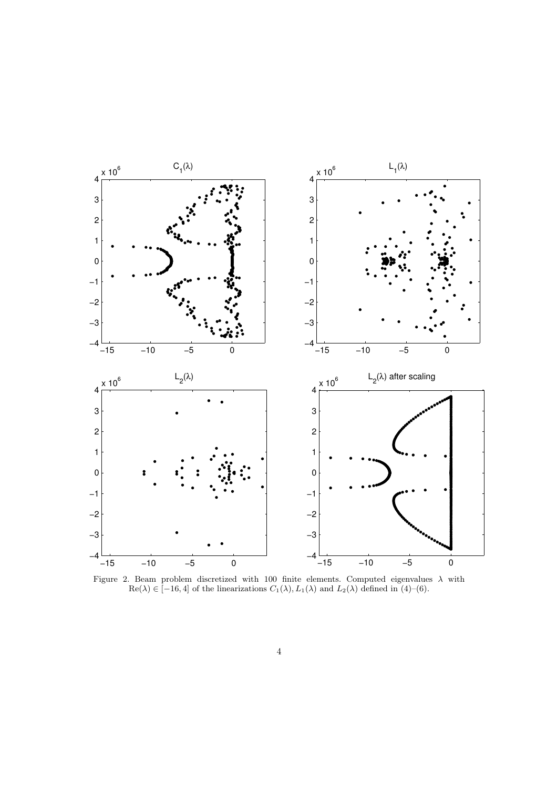

Figure 2. Beam problem discretized with 100 finite elements. Computed eigenvalues  $\lambda$  with  $\text{Re}(\lambda) \in [-16, 4]$  of the linearizations  $C_1(\lambda), L_1(\lambda)$  and  $L_2(\lambda)$  defined in (4)–(6).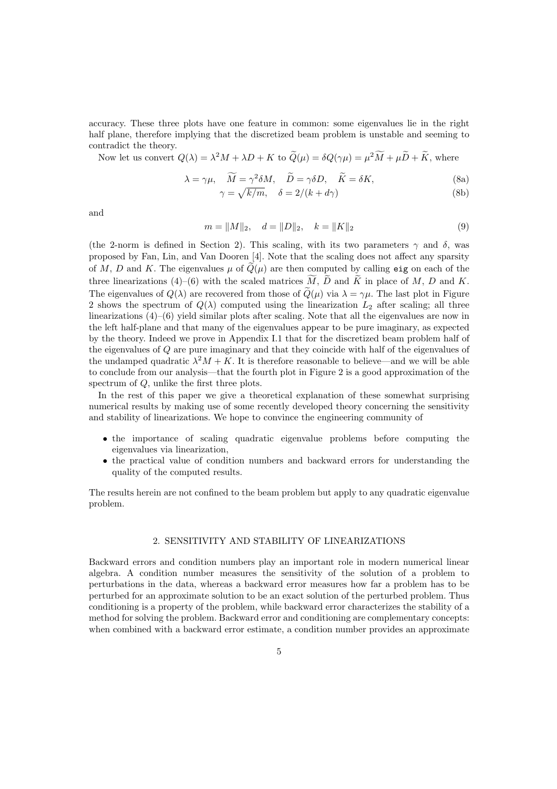accuracy. These three plots have one feature in common: some eigenvalues lie in the right half plane, therefore implying that the discretized beam problem is unstable and seeming to contradict the theory.

Now let us convert 
$$
Q(\lambda) = \lambda^2 M + \lambda D + K
$$
 to  $Q(\mu) = \delta Q(\gamma \mu) = \mu^2 M + \mu D + K$ , where

$$
\lambda = \gamma \mu, \quad \widetilde{M} = \gamma^2 \delta M, \quad \widetilde{D} = \gamma \delta D, \quad \widetilde{K} = \delta K,
$$
\n(8a)

$$
\gamma = \sqrt{k/m}, \quad \delta = 2/(k + d\gamma) \tag{8b}
$$

and

$$
m = ||M||_2, \quad d = ||D||_2, \quad k = ||K||_2 \tag{9}
$$

(the 2-norm is defined in Section 2). This scaling, with its two parameters  $\gamma$  and  $\delta$ , was proposed by Fan, Lin, and Van Dooren [4]. Note that the scaling does not affect any sparsity of M, D and K. The eigenvalues  $\mu$  of  $Q(\mu)$  are then computed by calling eig on each of the three linearizations (4)–(6) with the scaled matrices  $\tilde{M}$ ,  $\tilde{D}$  and  $\tilde{K}$  in place of  $M$ ,  $D$  and  $K$ . The eigenvalues of  $Q(\lambda)$  are recovered from those of  $\tilde{Q}(\mu)$  via  $\lambda = \gamma \mu$ . The last plot in Figure 2 shows the spectrum of  $Q(\lambda)$  computed using the linearization  $L_2$  after scaling; all three linearizations (4)–(6) yield similar plots after scaling. Note that all the eigenvalues are now in the left half-plane and that many of the eigenvalues appear to be pure imaginary, as expected by the theory. Indeed we prove in Appendix I.1 that for the discretized beam problem half of the eigenvalues of Q are pure imaginary and that they coincide with half of the eigenvalues of the undamped quadratic  $\lambda^2 M + K$ . It is therefore reasonable to believe—and we will be able to conclude from our analysis—that the fourth plot in Figure 2 is a good approximation of the spectrum of Q, unlike the first three plots.

In the rest of this paper we give a theoretical explanation of these somewhat surprising numerical results by making use of some recently developed theory concerning the sensitivity and stability of linearizations. We hope to convince the engineering community of

- the importance of scaling quadratic eigenvalue problems before computing the eigenvalues via linearization,
- the practical value of condition numbers and backward errors for understanding the quality of the computed results.

The results herein are not confined to the beam problem but apply to any quadratic eigenvalue problem.

# 2. SENSITIVITY AND STABILITY OF LINEARIZATIONS

Backward errors and condition numbers play an important role in modern numerical linear algebra. A condition number measures the sensitivity of the solution of a problem to perturbations in the data, whereas a backward error measures how far a problem has to be perturbed for an approximate solution to be an exact solution of the perturbed problem. Thus conditioning is a property of the problem, while backward error characterizes the stability of a method for solving the problem. Backward error and conditioning are complementary concepts: when combined with a backward error estimate, a condition number provides an approximate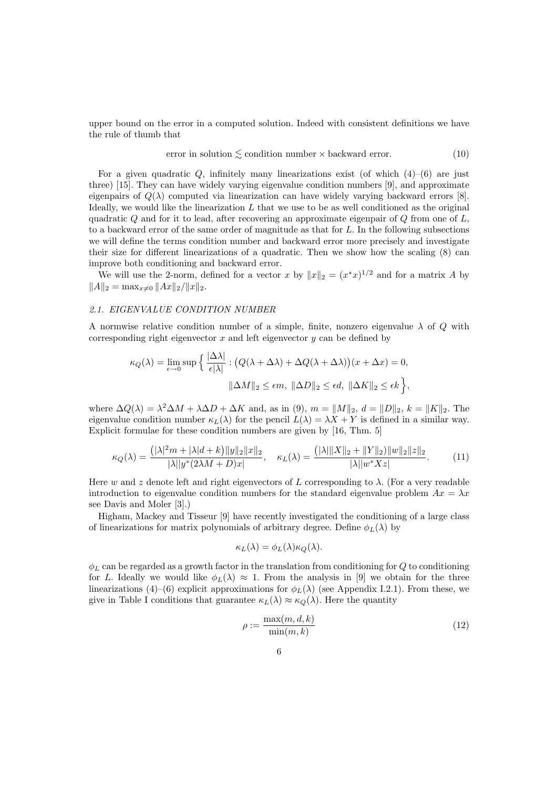upper bound on the error in a computed solution. Indeed with consistent definitions we have the rule of thumb that

error in solution 
$$
\lesssim
$$
 condition number  $\times$  backward error. (10)

For a given quadratic  $Q$ , infinitely many linearizations exist (of which  $(4)-(6)$ ) are just three) [15]. They can have widely varying eigenvalue condition numbers [9], and approximate eigenpairs of  $Q(\lambda)$  computed via linearization can have widely varying backward errors [8]. Ideally, we would like the linearization  $L$  that we use to be as well conditioned as the original quadratic  $Q$  and for it to lead, after recovering an approximate eigenpair of  $Q$  from one of  $L$ , to a backward error of the same order of magnitude as that for  $L$ . In the following subsections we will define the terms condition number and backward error more precisely and investigate their size for different linearizations of a quadratic. Then we show how the scaling (8) can improve both conditioning and backward error.

We will use the 2-norm, defined for a vector x by  $||x||_2 = (x^*x)^{1/2}$  and for a matrix A by  $||A||_2 = \max_{x\neq 0} ||Ax||_2/||x||_2.$ 

# 2.1. EIGENVALUE CONDITION NUMBER

A normwise relative condition number of a simple, finite, nonzero eigenvalue  $\lambda$  of Q with corresponding right eigenvector  $x$  and left eigenvector  $y$  can be defined by

$$
\kappa_Q(\lambda) = \lim_{\epsilon \to 0} \sup \left\{ \frac{|\Delta \lambda|}{\epsilon |\lambda|} : \left( Q(\lambda + \Delta \lambda) + \Delta Q(\lambda + \Delta \lambda) \right) (x + \Delta x) = 0, \right\}
$$

$$
\|\Delta M\|_2 \le \epsilon m, \ \|\Delta D\|_2 \le \epsilon d, \ \|\Delta K\|_2 \le \epsilon k \right\},
$$

where  $\Delta Q(\lambda) = \lambda^2 \Delta M + \lambda \Delta D + \Delta K$  and, as in (9),  $m = ||M||_2$ ,  $d = ||D||_2$ ,  $k = ||K||_2$ . The eigenvalue condition number  $\kappa_L(\lambda)$  for the pencil  $L(\lambda) = \lambda X + Y$  is defined in a similar way. Explicit formulae for these condition numbers are given by [16, Thm. 5]

$$
\kappa_Q(\lambda) = \frac{(|\lambda|^2 m + |\lambda| d + k) \|y\|_2 \|x\|_2}{|\lambda| |y^*(2\lambda M + D)x|}, \quad \kappa_L(\lambda) = \frac{(|\lambda| \|X\|_2 + \|Y\|_2) \|w\|_2 \|z\|_2}{|\lambda| |w^* Xz|}.
$$
 (11)

Here w and z denote left and right eigenvectors of L corresponding to  $\lambda$ . (For a very readable introduction to eigenvalue condition numbers for the standard eigenvalue problem  $Ax = \lambda x$ see Davis and Moler [3].)

Higham, Mackey and Tisseur [9] have recently investigated the conditioning of a large class of linearizations for matrix polynomials of arbitrary degree. Define  $\phi_L(\lambda)$  by

$$
\kappa_L(\lambda) = \phi_L(\lambda) \kappa_Q(\lambda).
$$

 $\phi_L$  can be regarded as a growth factor in the translation from conditioning for Q to conditioning for L. Ideally we would like  $\phi_L(\lambda) \approx 1$ . From the analysis in [9] we obtain for the three linearizations (4)–(6) explicit approximations for  $\phi_L(\lambda)$  (see Appendix I.2.1). From these, we give in Table I conditions that guarantee  $\kappa_L(\lambda) \approx \kappa_Q(\lambda)$ . Here the quantity

$$
\rho := \frac{\max(m, d, k)}{\min(m, k)}\tag{12}
$$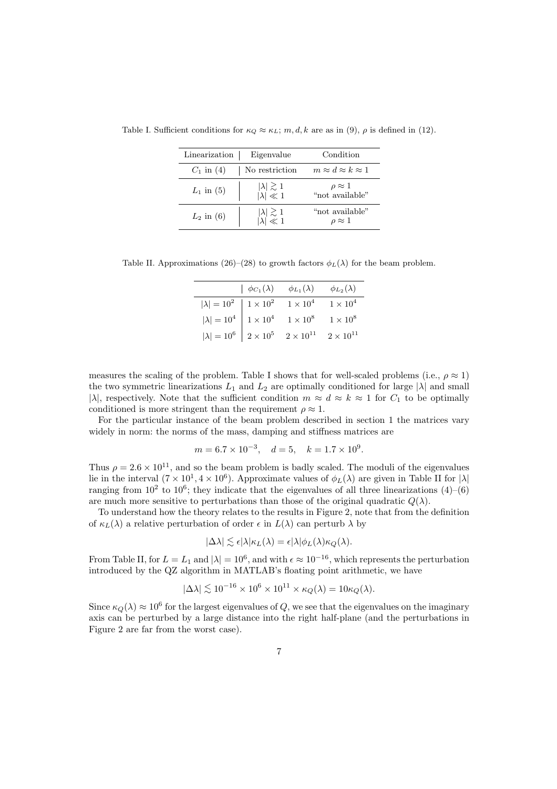| Linearization | Eigenvalue                                 | Condition                           |
|---------------|--------------------------------------------|-------------------------------------|
| $C_1$ in (4)  | No restriction                             | $m \approx d \approx k \approx 1$   |
| $L_1$ in (5)  | $ \lambda  \gtrsim 1$<br>$ \lambda  \ll 1$ | $\rho \approx 1$ "not available"    |
| $L_2$ in (6)  | $ \lambda  \gtrsim 1$<br>$ \lambda  \ll 1$ | "not available"<br>$\rho \approx 1$ |

Table I. Sufficient conditions for  $\kappa_Q \approx \kappa_L$ ; m, d, k are as in (9),  $\rho$  is defined in (12).

Table II. Approximations (26)–(28) to growth factors  $\phi_L(\lambda)$  for the beam problem.

|                                                                                                                 | $\phi_{C_1}(\lambda)$ $\phi_{L_1}(\lambda)$ |               | $\phi_{L_2}(\lambda)$ |
|-----------------------------------------------------------------------------------------------------------------|---------------------------------------------|---------------|-----------------------|
| $ \lambda  = 10^2$   $1 \times 10^2$                                                                            |                                             | $1\times10^4$ | $1\times10^4$         |
| $ \lambda  = 10^4$   $1 \times 10^4$ $1 \times 10^8$<br>$ \lambda  = 10^6$   $2 \times 10^5$ $2 \times 10^{11}$ |                                             |               | $1\times10^8$         |
|                                                                                                                 |                                             |               | $2\times10^{11}$      |

measures the scaling of the problem. Table I shows that for well-scaled problems (i.e.,  $\rho \approx 1$ ) the two symmetric linearizations  $L_1$  and  $L_2$  are optimally conditioned for large  $|\lambda|$  and small |λ|, respectively. Note that the sufficient condition  $m \approx d \approx k \approx 1$  for  $C_1$  to be optimally conditioned is more stringent than the requirement  $\rho \approx 1$ .

For the particular instance of the beam problem described in section 1 the matrices vary widely in norm: the norms of the mass, damping and stiffness matrices are

$$
m = 6.7 \times 10^{-3}
$$
,  $d = 5$ ,  $k = 1.7 \times 10^{9}$ .

Thus  $\rho = 2.6 \times 10^{11}$ , and so the beam problem is badly scaled. The moduli of the eigenvalues lie in the interval  $(7 \times 10^1, 4 \times 10^6)$ . Approximate values of  $\phi_L(\lambda)$  are given in Table II for  $|\lambda|$ ranging from  $10^2$  to  $10^6$ ; they indicate that the eigenvalues of all three linearizations  $(4)$ – $(6)$ are much more sensitive to perturbations than those of the original quadratic  $Q(\lambda)$ .

To understand how the theory relates to the results in Figure 2, note that from the definition of  $\kappa_L(\lambda)$  a relative perturbation of order  $\epsilon$  in  $L(\lambda)$  can perturb  $\lambda$  by

$$
|\Delta\lambda| \lesssim \epsilon |\lambda| \kappa_L(\lambda) = \epsilon |\lambda| \phi_L(\lambda) \kappa_Q(\lambda).
$$

From Table II, for  $L = L_1$  and  $|\lambda| = 10^6$ , and with  $\epsilon \approx 10^{-16}$ , which represents the perturbation introduced by the QZ algorithm in MATLAB's floating point arithmetic, we have

$$
|\Delta\lambda| \lesssim 10^{-16} \times 10^6 \times 10^{11} \times \kappa_Q(\lambda) = 10 \kappa_Q(\lambda).
$$

Since  $\kappa_Q(\lambda) \approx 10^6$  for the largest eigenvalues of Q, we see that the eigenvalues on the imaginary axis can be perturbed by a large distance into the right half-plane (and the perturbations in Figure 2 are far from the worst case).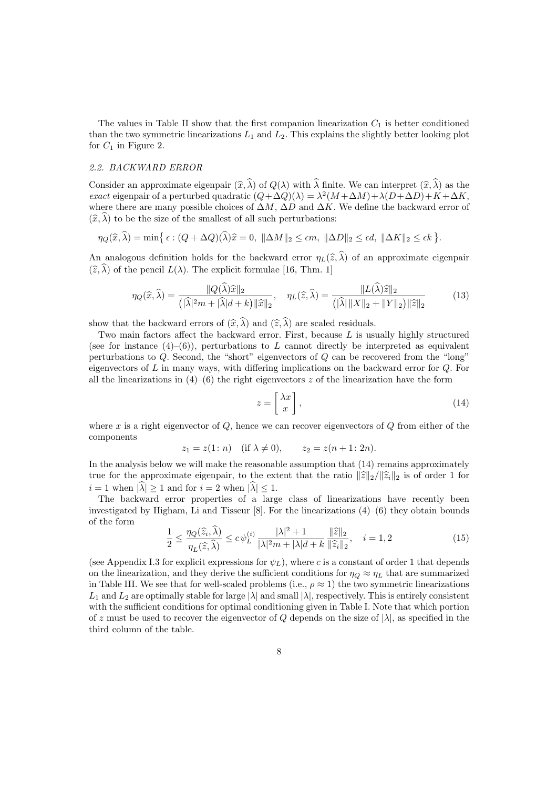The values in Table II show that the first companion linearization  $C_1$  is better conditioned than the two symmetric linearizations  $L_1$  and  $L_2$ . This explains the slightly better looking plot for  $C_1$  in Figure 2.

#### 2.2. BACKWARD ERROR

Consider an approximate eigenpair  $(\widehat{x}, \widehat{\lambda})$  of  $Q(\lambda)$  with  $\widehat{\lambda}$  finite. We can interpret  $(\widehat{x}, \widehat{\lambda})$  as the exact eigenpair of a perturbed quadratic  $(Q + \Delta Q)(\lambda) = \lambda^2 (M + \Delta M) + \lambda (D + \Delta D) + K + \Delta K$ , where there are many possible choices of  $\Delta M$ ,  $\Delta D$  and  $\Delta K$ . We define the backward error of  $(\widehat{x}, \widehat{\lambda})$  to be the size of the smallest of all such perturbations:

$$
\eta_Q(\widehat{x}, \widehat{\lambda}) = \min \{ \epsilon : (Q + \Delta Q)(\widehat{\lambda})\widehat{x} = 0, \ \|\Delta M\|_2 \le \epsilon m, \ \|\Delta D\|_2 \le \epsilon d, \ \|\Delta K\|_2 \le \epsilon k \}.
$$

An analogous definition holds for the backward error  $\eta_L(\hat{z}, \hat{\lambda})$  of an approximate eigenpair  $(\widehat{z}, \widehat{\lambda})$  of the pencil  $L(\lambda)$ . The explicit formulae [16, Thm. 1]

$$
\eta_Q(\widehat{x}, \widehat{\lambda}) = \frac{\|Q(\widehat{\lambda})\widehat{x}\|_2}{\left(\|\widehat{\lambda}\|^2 m + \|\widehat{\lambda}\|d + k\right) \|\widehat{x}\|_2}, \quad \eta_L(\widehat{z}, \widehat{\lambda}) = \frac{\|L(\widehat{\lambda})\widehat{z}\|_2}{\left(\|\widehat{\lambda}\| \|X\|_2 + \|Y\|_2\right) \|\widehat{z}\|_2} \tag{13}
$$

show that the backward errors of  $(\widehat{x}, \widehat{\lambda})$  and  $(\widehat{z}, \widehat{\lambda})$  are scaled residuals.

Two main factors affect the backward error. First, because  $L$  is usually highly structured (see for instance  $(4)$ – $(6)$ ), perturbations to L cannot directly be interpreted as equivalent perturbations to  $Q$ . Second, the "short" eigenvectors of  $Q$  can be recovered from the "long" eigenvectors of L in many ways, with differing implications on the backward error for Q. For all the linearizations in  $(4)$ – $(6)$  the right eigenvectors z of the linearization have the form

$$
z = \left[\begin{array}{c} \lambda x \\ x \end{array}\right],\tag{14}
$$

where x is a right eigenvector of  $Q$ , hence we can recover eigenvectors of  $Q$  from either of the components

$$
z_1 = z(1: n)
$$
 (if  $\lambda \neq 0$ ),  $z_2 = z(n + 1: 2n)$ .

In the analysis below we will make the reasonable assumption that  $(14)$  remains approximately true for the approximate eigenpair, to the extent that the ratio  $\|\hat{z}\|_2/\|\hat{z}_i\|_2$  is of order 1 for  $i = 1$  when  $|\widehat{\lambda}| > 1$  and for  $i = 2$  when  $|\widehat{\lambda}| < 1$ .

The backward error properties of a large class of linearizations have recently been investigated by Higham, Li and Tisseur [8]. For the linearizations  $(4)$ – $(6)$  they obtain bounds of the form

$$
\frac{1}{2} \le \frac{\eta_Q(\widehat{z}_i, \widehat{\lambda})}{\eta_L(\widehat{z}, \widehat{\lambda})} \le c\psi_L^{(i)} \frac{|\lambda|^2 + 1}{|\lambda|^2 m + |\lambda| d + k} \frac{\|\widehat{z}\|_2}{\|\widehat{z}_i\|_2}, \quad i = 1, 2
$$
\n(15)

(see Appendix I.3 for explicit expressions for  $\psi_L$ ), where c is a constant of order 1 that depends on the linearization, and they derive the sufficient conditions for  $\eta_Q \approx \eta_L$  that are summarized in Table III. We see that for well-scaled problems (i.e.,  $\rho \approx 1$ ) the two symmetric linearizations  $L_1$  and  $L_2$  are optimally stable for large  $|\lambda|$  and small  $|\lambda|$ , respectively. This is entirely consistent with the sufficient conditions for optimal conditioning given in Table I. Note that which portion of z must be used to recover the eigenvector of Q depends on the size of  $|\lambda|$ , as specified in the third column of the table.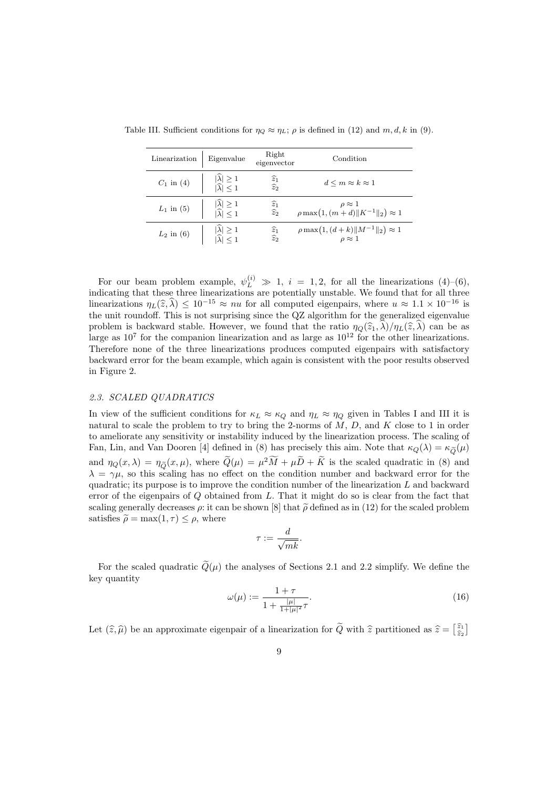| Linearization | Eigenvalue                                                 | Right<br>eigenvector                            | Condition                                                          |
|---------------|------------------------------------------------------------|-------------------------------------------------|--------------------------------------------------------------------|
| $C_1$ in (4)  | $ \hat{\lambda}  \ge 1$<br>$ \hat{\lambda}  \le 1$         | $\widehat{\widetilde{z}_{1}}_{\widehat{z}_{2}}$ | $d \leq m \approx k \approx 1$                                     |
| $L_1$ in (5)  | $ \widehat{\lambda}  \ge 1$<br>$ \widehat{\lambda}  \le 1$ | $\widehat{\widetilde{z}}_1 \\ \widehat{z}_2$    | $\rho \approx 1$<br>$\rho \max(1, (m+d)    K^{-1}   _2) \approx 1$ |
| $L_2$ in (6)  | $ \lambda  \ge 1$<br>$ \lambda  \le 1$                     | $\widehat{z}_1$<br>$\widehat{z}_2$              | $\rho \max(1, (d+k)    M^{-1}   _2) \approx 1$<br>$\rho \approx 1$ |

Table III. Sufficient conditions for  $\eta_Q \approx \eta_L$ ;  $\rho$  is defined in (12) and  $m, d, k$  in (9).

For our beam problem example,  $\psi_L^{(i)} \gg 1$ ,  $i = 1, 2$ , for all the linearizations (4)–(6), indicating that these three linearizations are potentially unstable. We found that for all three linearizations  $\eta_L(\hat{z}, \hat{\lambda}) \leq 10^{-15} \approx nu$  for all computed eigenpairs, where  $u \approx 1.1 \times 10^{-16}$  is the unit roundoff. This is not surprising since the QZ algorithm for the generalized eigenvalue problem is backward stable. However, we found that the ratio  $\eta_{\Omega}(\hat{z}_1, \hat{\lambda})/\eta_L(\hat{z}, \hat{\lambda})$  can be as large as  $10^7$  for the companion linearization and as large as  $10^{12}$  for the other linearizations. Therefore none of the three linearizations produces computed eigenpairs with satisfactory backward error for the beam example, which again is consistent with the poor results observed in Figure 2.

# 2.3. SCALED QUADRATICS

In view of the sufficient conditions for  $\kappa_L \approx \kappa_Q$  and  $\eta_L \approx \eta_Q$  given in Tables I and III it is natural to scale the problem to try to bring the 2-norms of  $M$ ,  $D$ , and  $K$  close to 1 in order to ameliorate any sensitivity or instability induced by the linearization process. The scaling of Fan, Lin, and Van Dooren [4] defined in (8) has precisely this aim. Note that  $\kappa_Q(\lambda) = \kappa_{\tilde{Q}}(\mu)$ and  $\eta_Q(x,\lambda) = \eta_{\widetilde{Q}}(x,\mu)$ , where  $Q(\mu) = \mu^2 M + \mu D + K$  is the scaled quadratic in (8) and  $\lambda = \gamma \mu$ , so this scaling has no effect on the condition number and backward error for the quadratic; its purpose is to improve the condition number of the linearization  $L$  and backward error of the eigenpairs of  $Q$  obtained from  $L$ . That it might do so is clear from the fact that scaling generally decreases  $\rho$ : it can be shown [8] that  $\tilde{\rho}$  defined as in (12) for the scaled problem satisfies  $\tilde{\rho} = \max(1, \tau) \leq \rho$ , where

$$
\tau := \frac{d}{\sqrt{mk}}.
$$

For the scaled quadratic  $\tilde{Q}(\mu)$  the analyses of Sections 2.1 and 2.2 simplify. We define the key quantity

$$
\omega(\mu) := \frac{1+\tau}{1 + \frac{|\mu|}{1+|\mu|^2}\tau}.\tag{16}
$$

Let  $(\hat{z}, \hat{\mu})$  be an approximate eigenpair of a linearization for  $\tilde{Q}$  with  $\hat{z}$  partitioned as  $\hat{z} = \begin{bmatrix} \hat{z}_1 \\ \hat{z}_2 \end{bmatrix}$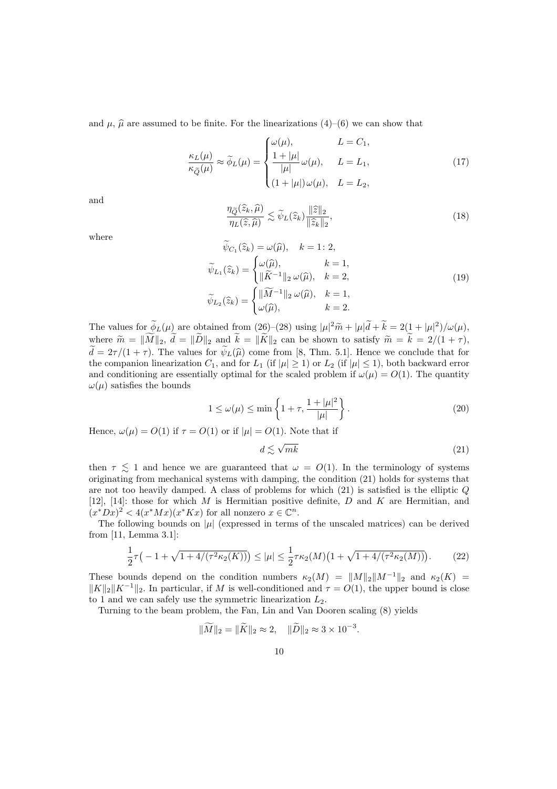and  $\mu$ ,  $\hat{\mu}$  are assumed to be finite. For the linearizations (4)–(6) we can show that

$$
\frac{\kappa_L(\mu)}{\kappa_{\tilde{Q}}(\mu)} \approx \tilde{\phi}_L(\mu) = \begin{cases} \omega(\mu), & L = C_1, \\ \frac{1 + |\mu|}{|\mu|} \omega(\mu), & L = L_1, \\ (1 + |\mu|) \omega(\mu), & L = L_2, \end{cases}
$$
(17)

and

$$
\frac{\eta_{\widetilde{Q}}(\widehat{z}_k,\widehat{\mu})}{\eta_L(\widehat{z},\widehat{\mu})} \lesssim \widetilde{\psi}_L(\widehat{z}_k) \frac{\|\widehat{z}\|_2}{\|\widehat{z}_k\|_2},\tag{18}
$$

where

$$
\psi_{C_1}(\hat{z}_k) = \omega(\hat{\mu}), \quad k = 1: 2,
$$
  

$$
\widetilde{\psi}_{L_1}(\hat{z}_k) = \begin{cases} \omega(\hat{\mu}), & k = 1, \\ \|\widetilde{K}^{-1}\|_2 \omega(\hat{\mu}), & k = 2, \\ \omega(\hat{\mu}), & k = 1, \end{cases}
$$
  

$$
\widetilde{\psi}_{L_2}(\hat{z}_k) = \begin{cases} \|\widetilde{M}^{-1}\|_2 \omega(\hat{\mu}), & k = 1, \\ \omega(\hat{\mu}), & k = 2. \end{cases}
$$
 (19)

The values for  $\phi_L(\mu)$  are obtained from (26)–(28) using  $|\mu|^2 \tilde{m} + |\mu| \tilde{d} + k = 2(1 + |\mu|^2)/\omega(\mu)$ , where  $\widetilde{m} = \|\widetilde{M}\|_2$ ,  $\widetilde{d} = \|\widetilde{D}\|_2$  and  $\widetilde{k} = \|\widetilde{K}\|_2$  can be shown to satisfy  $\widetilde{m} = \widetilde{k} = 2/(1 + \tau)$ ,  $\tilde{d} = 2\tau/(1+\tau)$ . The values for  $\tilde{\psi}_L(\hat{\mu})$  come from [8, Thm. 5.1]. Hence we conclude that for the companion linearization  $C_1$ , and for  $L_1$  (if  $|\mu| \geq 1$ ) or  $L_2$  (if  $|\mu| \leq 1$ ), both backward error and conditioning are essentially optimal for the scaled problem if  $\omega(\mu) = O(1)$ . The quantity  $\omega(\mu)$  satisfies the bounds

$$
1 \le \omega(\mu) \le \min\left\{1 + \tau, \frac{1 + |\mu|^2}{|\mu|}\right\}.
$$
\n(20)

Hence,  $\omega(\mu) = O(1)$  if  $\tau = O(1)$  or if  $|\mu| = O(1)$ . Note that if

$$
d \lesssim \sqrt{mk} \tag{21}
$$

.

then  $\tau \leq 1$  and hence we are guaranteed that  $\omega = O(1)$ . In the terminology of systems originating from mechanical systems with damping, the condition (21) holds for systems that are not too heavily damped. A class of problems for which  $(21)$  is satisfied is the elliptic  $Q$ [12], [14]: those for which M is Hermitian positive definite, D and K are Hermitian, and  $(x^*Dx)^2 < 4(x^*Mx)(x^*Kx)$  for all nonzero  $x \in \mathbb{C}^n$ .

The following bounds on  $|\mu|$  (expressed in terms of the unscaled matrices) can be derived from [11, Lemma 3.1]:

$$
\frac{1}{2}\tau(-1+\sqrt{1+4/(\tau^2\kappa_2(K))}) \le |\mu| \le \frac{1}{2}\tau\kappa_2(M)\big(1+\sqrt{1+4/(\tau^2\kappa_2(M))}\big). \tag{22}
$$

These bounds depend on the condition numbers  $\kappa_2(M) = ||M||_2||M^{-1}||_2$  and  $\kappa_2(K)$  $||K||_2||K^{-1}||_2$ . In particular, if M is well-conditioned and  $\tau = O(1)$ , the upper bound is close to 1 and we can safely use the symmetric linearization  $L_2$ .

Turning to the beam problem, the Fan, Lin and Van Dooren scaling (8) yields

$$
\|\widetilde{M}\|_2 = \|\widetilde{K}\|_2 \approx 2, \quad \|\widetilde{D}\|_2 \approx 3 \times 10^{-3}
$$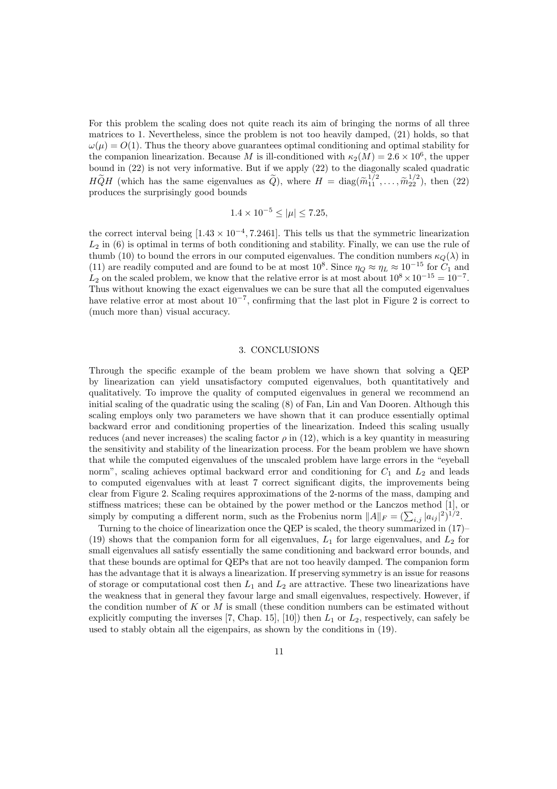For this problem the scaling does not quite reach its aim of bringing the norms of all three matrices to 1. Nevertheless, since the problem is not too heavily damped, (21) holds, so that  $\omega(\mu) = O(1)$ . Thus the theory above guarantees optimal conditioning and optimal stability for the companion linearization. Because M is ill-conditioned with  $\kappa_2(M) = 2.6 \times 10^6$ , the upper bound in (22) is not very informative. But if we apply (22) to the diagonally scaled quadratic  $H\widetilde{Q}H$  (which has the same eigenvalues as  $\widetilde{Q}$ ), where  $H = \text{diag}(\widetilde{m}_{11}^{1/2}, \ldots, \widetilde{m}_{22}^{1/2})$ , then (22) produces the surprisingly good bounds

$$
1.4 \times 10^{-5} \le |\mu| \le 7.25,
$$

the correct interval being  $[1.43 \times 10^{-4}, 7.2461]$ . This tells us that the symmetric linearization  $L_2$  in (6) is optimal in terms of both conditioning and stability. Finally, we can use the rule of thumb (10) to bound the errors in our computed eigenvalues. The condition numbers  $\kappa_Q(\lambda)$  in (11) are readily computed and are found to be at most  $10^8$ . Since  $\eta_Q \approx \eta_L \approx 10^{-15}$  for  $C_1$  and  $L_2$  on the scaled problem, we know that the relative error is at most about  $10^8 \times 10^{-15} = 10^{-7}$ . Thus without knowing the exact eigenvalues we can be sure that all the computed eigenvalues have relative error at most about  $10^{-7}$ , confirming that the last plot in Figure 2 is correct to (much more than) visual accuracy.

#### 3. CONCLUSIONS

Through the specific example of the beam problem we have shown that solving a QEP by linearization can yield unsatisfactory computed eigenvalues, both quantitatively and qualitatively. To improve the quality of computed eigenvalues in general we recommend an initial scaling of the quadratic using the scaling (8) of Fan, Lin and Van Dooren. Although this scaling employs only two parameters we have shown that it can produce essentially optimal backward error and conditioning properties of the linearization. Indeed this scaling usually reduces (and never increases) the scaling factor  $\rho$  in (12), which is a key quantity in measuring the sensitivity and stability of the linearization process. For the beam problem we have shown that while the computed eigenvalues of the unscaled problem have large errors in the "eyeball norm", scaling achieves optimal backward error and conditioning for  $C_1$  and  $L_2$  and leads to computed eigenvalues with at least 7 correct significant digits, the improvements being clear from Figure 2. Scaling requires approximations of the 2-norms of the mass, damping and stiffness matrices; these can be obtained by the power method or the Lanczos method [1], or simply by computing a different norm, such as the Frobenius norm  $||A||_F = (\sum_{i,j} |a_{ij}|^2)^{1/2}$ .

Turning to the choice of linearization once the QEP is scaled, the theory summarized in (17)– (19) shows that the companion form for all eigenvalues,  $L_1$  for large eigenvalues, and  $L_2$  for small eigenvalues all satisfy essentially the same conditioning and backward error bounds, and that these bounds are optimal for QEPs that are not too heavily damped. The companion form has the advantage that it is always a linearization. If preserving symmetry is an issue for reasons of storage or computational cost then  $L_1$  and  $L_2$  are attractive. These two linearizations have the weakness that in general they favour large and small eigenvalues, respectively. However, if the condition number of K or M is small (these condition numbers can be estimated without explicitly computing the inverses [7, Chap. 15], [10]) then  $L_1$  or  $L_2$ , respectively, can safely be used to stably obtain all the eigenpairs, as shown by the conditions in (19).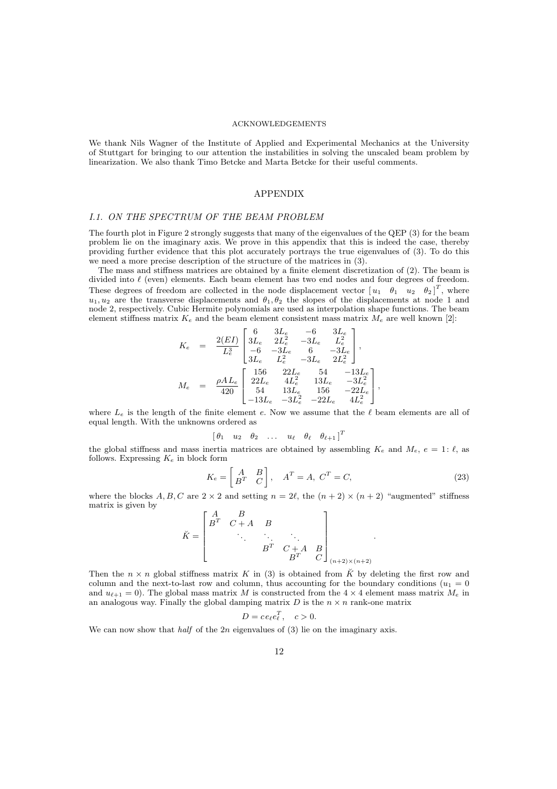#### ACKNOWLEDGEMENTS

We thank Nils Wagner of the Institute of Applied and Experimental Mechanics at the University of Stuttgart for bringing to our attention the instabilities in solving the unscaled beam problem by linearization. We also thank Timo Betcke and Marta Betcke for their useful comments.

### APPENDIX

#### I.1. ON THE SPECTRUM OF THE BEAM PROBLEM

The fourth plot in Figure 2 strongly suggests that many of the eigenvalues of the QEP (3) for the beam problem lie on the imaginary axis. We prove in this appendix that this is indeed the case, thereby providing further evidence that this plot accurately portrays the true eigenvalues of (3). To do this we need a more precise description of the structure of the matrices in  $(3)$ .

The mass and stiffness matrices are obtained by a finite element discretization of (2). The beam is divided into  $\ell$  (even) elements. Each beam element has two end nodes and four degrees of freedom. These degrees of freedom are collected in the node displacement vector  $\begin{bmatrix} u_1 & \theta_1 & u_2 & \theta_2 \end{bmatrix}^T$ , where  $u_1, u_2$  are the transverse displacements and  $\theta_1, \theta_2$  the slopes of the displacements at node 1 and node 2, respectively. Cubic Hermite polynomials are used as interpolation shape functions. The beam element stiffness matrix  $K_e$  and the beam element consistent mass matrix  $M_e$  are well known [2]:

$$
K_e = \frac{2(EI)}{L_e^3} \begin{bmatrix} 6 & 3L_e & -6 & 3L_e \\ 3L_e & 2L_e^2 & -3L_e & L_e^2 \\ -6 & -3L_e & 6 & -3L_e \\ 3L_e & L_e^2 & -3L_e & 2L_e^2 \end{bmatrix},
$$
  
\n
$$
M_e = \frac{\rho A L_e}{420} \begin{bmatrix} 156 & 22L_e & 54 & -13L_e \\ 22L_e & 4L_e^2 & 13L_e & -3L_e^2 \\ 54 & 13L_e & 156 & -22L_e \\ -13L_e & -3L_e^2 & -22L_e & 4L_e^2 \end{bmatrix},
$$

where  $L_e$  is the length of the finite element e. Now we assume that the  $\ell$  beam elements are all of equal length. With the unknowns ordered as

$$
\begin{bmatrix} \theta_1 & u_2 & \theta_2 & \dots & u_{\ell} & \theta_{\ell} & \theta_{\ell+1} \end{bmatrix}^T
$$

the global stiffness and mass inertia matrices are obtained by assembling  $K_e$  and  $M_e$ ,  $e = 1$ :  $\ell$ , as follows. Expressing  $K_e$  in block form

$$
K_e = \begin{bmatrix} A & B \\ B^T & C \end{bmatrix}, \quad A^T = A, \ C^T = C,
$$
\n(23)

where the blocks A, B, C are  $2 \times 2$  and setting  $n = 2\ell$ , the  $(n + 2) \times (n + 2)$  "augmented" stiffness matrix is given by  $\overline{2}$ 

$$
\breve{K} = \begin{bmatrix} A & B & & & \\ B^T & C + A & B & & \\ & \ddots & \ddots & \ddots & \\ & & B^T & C + A & B \\ & & & B^T & C \end{bmatrix}_{(n+2)\times(n+2)}.
$$

Then the  $n \times n$  global stiffness matrix K in (3) is obtained from  $\check{K}$  by deleting the first row and column and the next-to-last row and column, thus accounting for the boundary conditions ( $u_1 = 0$ ) and  $u_{\ell+1} = 0$ ). The global mass matrix M is constructed from the  $4 \times 4$  element mass matrix  $M_e$  in an analogous way. Finally the global damping matrix  $D$  is the  $n \times n$  rank-one matrix

$$
D = ce_{\ell}e_{\ell}^T, \quad c > 0.
$$

We can now show that *half* of the  $2n$  eigenvalues of (3) lie on the imaginary axis.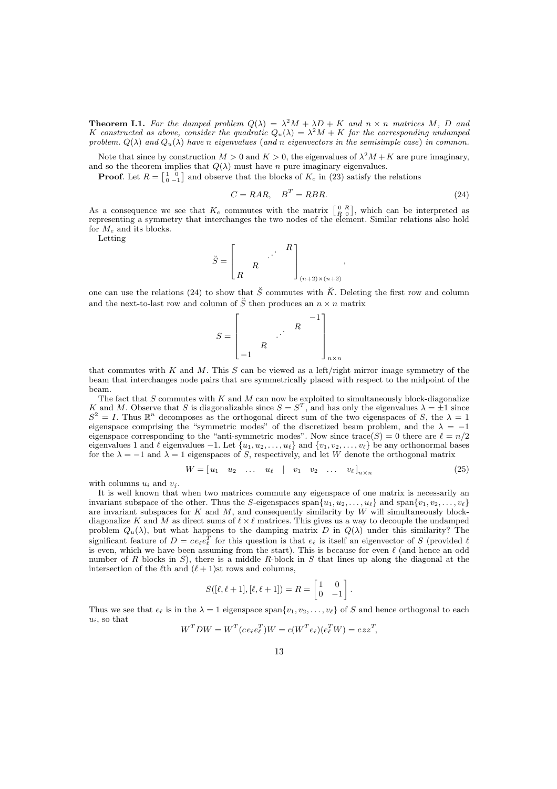**Theorem I.1.** For the damped problem  $Q(\lambda) = \lambda^2 M + \lambda D + K$  and  $n \times n$  matrices M, D and K constructed as above, consider the quadratic  $Q_u(\lambda) = \lambda^2 M + K$  for the corresponding undamped problem.  $Q(\lambda)$  and  $Q_u(\lambda)$  have n eigenvalues (and n eigenvectors in the semisimple case) in common.

Note that since by construction  $M > 0$  and  $K > 0$ , the eigenvalues of  $\lambda^2 M + K$  are pure imaginary, and so the theorem implies that  $Q(\lambda)$  must have n pure imaginary eigenvalues.

**Proof.** Let  $R = \begin{bmatrix} 1 & 0 \\ 0 & -1 \end{bmatrix}$  and observe that the blocks of  $K_e$  in (23) satisfy the relations

$$
C = RAR, \quad B^T = RBR. \tag{24}
$$

,

As a consequence we see that  $K_e$  commutes with the matrix  $\begin{bmatrix} 0 & R \\ R & 0 \end{bmatrix}$ , which can be interpreted as representing a symmetry that interchanges the two nodes of the element. Similar relations also hold for  $M_e$  and its blocks.

Letting

 $\breve{S} =$  $\Gamma$  $\left| \right|$ R . . . R R 1  $\vert$  $(n+2)\times(n+2)$ 

one can use the relations (24) to show that  $\check{S}$  commutes with  $\check{K}$ . Deleting the first row and column and the next-to-last row and column of  $\check{S}$  then produces an  $n\times n$  matrix



that commutes with K and M. This S can be viewed as a left/right mirror image symmetry of the beam that interchanges node pairs that are symmetrically placed with respect to the midpoint of the beam.

The fact that  $S$  commutes with  $K$  and  $M$  can now be exploited to simultaneously block-diagonalize K and M. Observe that S is diagonalizable since  $S = S^T$ , and has only the eigenvalues  $\lambda = \pm 1$  since  $S^2 = I$ . Thus  $\mathbb{R}^n$  decomposes as the orthogonal direct sum of the two eigenspaces of S, the  $\lambda = 1$ eigenspace comprising the "symmetric modes" of the discretized beam problem, and the  $\lambda = -1$ eigenspace corresponding to the "anti-symmetric modes". Now since trace(S) = 0 there are  $\ell = n/2$ eigenvalues 1 and  $\ell$  eigenvalues -1. Let  $\{u_1, u_2, \ldots, u_\ell\}$  and  $\{v_1, v_2, \ldots, v_\ell\}$  be any orthonormal bases for the  $\lambda = -1$  and  $\lambda = 1$  eigenspaces of S, respectively, and let W denote the orthogonal matrix

$$
W = \begin{bmatrix} u_1 & u_2 & \dots & u_\ell \end{bmatrix} \quad v_1 \quad v_2 \quad \dots \quad v_\ell \end{bmatrix}_{n \times n} \tag{25}
$$

with columns  $u_i$  and  $v_j$ .

It is well known that when two matrices commute any eigenspace of one matrix is necessarily an invariant subspace of the other. Thus the S-eigenspaces span $\{u_1, u_2, \ldots, u_\ell\}$  and span $\{v_1, v_2, \ldots, v_\ell\}$ are invariant subspaces for  $K$  and  $M$ , and consequently similarity by  $W$  will simultaneously blockdiagonalize K and M as direct sums of  $\ell \times \ell$  matrices. This gives us a way to decouple the undamped problem  $Q_u(\lambda)$ , but what happens to the damping matrix D in  $Q(\lambda)$  under this similarity? The significant feature of  $D = ce_{\ell}e_{\ell}^{T}$  for this question is that  $e_{\ell}$  is itself an eigenvector of S (provided  $\ell$ is even, which we have been assuming from the start). This is because for even  $\ell$  (and hence an odd number of R blocks in S), there is a middle R-block in S that lines up along the diagonal at the intersection of the  $\ell$ th and  $(\ell + 1)$ st rows and columns,

$$
S([\ell, \ell+1], [\ell, \ell+1]) = R = \begin{bmatrix} 1 & 0 \\ 0 & -1 \end{bmatrix}.
$$

Thus we see that  $e_\ell$  is in the  $\lambda = 1$  eigenspace span $\{v_1, v_2, \ldots, v_\ell\}$  of S and hence orthogonal to each  $u_i$ , so that

$$
W^T D W = W^T (ce_{\ell}e_{\ell}^T) W = c(W^T e_{\ell})(e_{\ell}^T W) = czz^T,
$$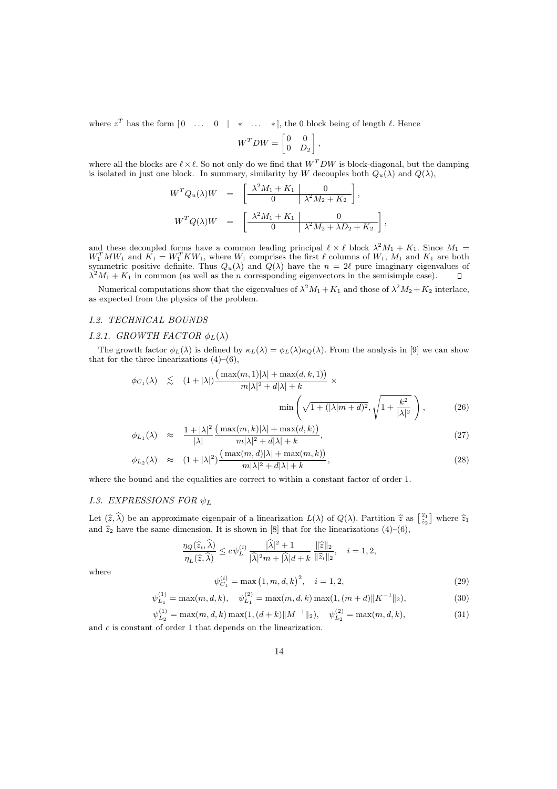where  $z^T$  has the form  $\begin{bmatrix} 0 & \dots & 0 \end{bmatrix}$  \*  $\dots$  \*, , the 0 block being of length  $\ell$ . Hence

$$
W^T D W = \begin{bmatrix} 0 & 0 \\ 0 & D_2 \end{bmatrix},
$$

where all the blocks are  $\ell \times \ell$ . So not only do we find that  $W^T D W$  is block-diagonal, but the damping is isolated in just one block. In summary, similarity by W decouples both  $Q_u(\lambda)$  and  $Q(\lambda)$ ,

$$
W^T Q_u(\lambda) W = \left[ \begin{array}{c|c} \lambda^2 M_1 + K_1 & 0 \\ \hline 0 & \lambda^2 M_2 + K_2 \end{array} \right],
$$
  

$$
W^T Q(\lambda) W = \left[ \begin{array}{c|c} \lambda^2 M_1 + K_1 & 0 \\ \hline 0 & \lambda^2 M_2 + \lambda D_2 + K_2 \end{array} \right],
$$

and these decoupled forms have a common leading principal  $\ell \times \ell$  block  $\lambda^2 M_1 + K_1$ . Since  $M_1 =$  $W_1^T M W_1$  and  $\tilde{K_1} = W_1^T K W_1$ , where  $W_1$  comprises the first  $\ell$  columns of  $W_1$ ,  $M_1$  and  $K_1$  are both symmetric positive definite. Thus  $Q_u(\lambda)$  and  $Q(\lambda)$  have the  $n = 2\ell$  pure imaginary eigenvalues of  $\lambda^2 M_1 + K_1$  in common (as well as the *n* corresponding eigenvectors in the semisimple case).

Numerical computations show that the eigenvalues of  $\lambda^2 M_1 + K_1$  and those of  $\lambda^2 M_2 + K_2$  interlace, as expected from the physics of the problem.

#### I.2. TECHNICAL BOUNDS

# I.2.1. GROWTH FACTOR  $\phi_L(\lambda)$

The growth factor  $\phi_L(\lambda)$  is defined by  $\kappa_L(\lambda) = \phi_L(\lambda)\kappa_Q(\lambda)$ . From the analysis in [9] we can show that for the three linearizations  $(4)$ – $(6)$ ,

$$
\phi_{C_1}(\lambda) \leq (1+|\lambda|) \frac{\left(\max(m,1)|\lambda| + \max(d,k,1)\right)}{m|\lambda|^2 + d|\lambda| + k} \times \min\left(\sqrt{1+(|\lambda|m+d|^2)}, \sqrt{1+\frac{k^2}{|\lambda|^2}}\right),\tag{26}
$$

$$
\phi_{L_1}(\lambda) \approx \frac{1+|\lambda|^2}{|\lambda|} \frac{\left(\max(m,k)|\lambda|+\max(d,k)\right)}{m|\lambda|^2+d|\lambda|+k},\tag{27}
$$

$$
\phi_{L_2}(\lambda) \approx (1+|\lambda|^2) \frac{\left(\max(m,d)|\lambda| + \max(m,k)\right)}{m|\lambda|^2 + d|\lambda| + k},\tag{28}
$$

where the bound and the equalities are correct to within a constant factor of order 1.

# 1.3. EXPRESSIONS FOR  $\psi_L$

 $(1)$ 

Let  $(\hat{z}, \hat{\lambda})$  be an approximate eigenpair of a linearization  $L(\lambda)$  of  $Q(\lambda)$ . Partition  $\hat{z}$  as  $\begin{bmatrix} \hat{z}_1 \\ \hat{z}_2 \end{bmatrix}$  where  $\hat{z}_1$ and  $\hat{z}_2$  have the same dimension. It is shown in [8] that for the linearizations (4)–(6),

$$
\frac{\eta_Q(\widehat{z}_i,\widehat{\lambda})}{\eta_L(\widehat{z},\widehat{\lambda})}\leq c\psi_L^{(i)}\,\frac{|\widehat{\lambda}|^2+1}{|\widehat{\lambda}|^2m+|\widehat{\lambda}|d+k}\,\frac{\|\widehat{z}\|_2}{\|\widehat{z}_i\|_2},\quad i=1,2,
$$

where

$$
\psi_{C_1}^{(i)} = \max\left(1, m, d, k\right)^2, \quad i = 1, 2,\tag{29}
$$

$$
\psi_{L_1}^{(1)} = \max(m, d, k), \quad \psi_{L_1}^{(2)} = \max(m, d, k) \max(1, (m+d) \|K^{-1}\|_2), \tag{30}
$$

$$
\psi_{L_2}^{(1)} = \max(m, d, k) \max(1, (d+k) \|M^{-1}\|_2), \quad \psi_{L_2}^{(2)} = \max(m, d, k), \tag{31}
$$

and c is constant of order 1 that depends on the linearization.